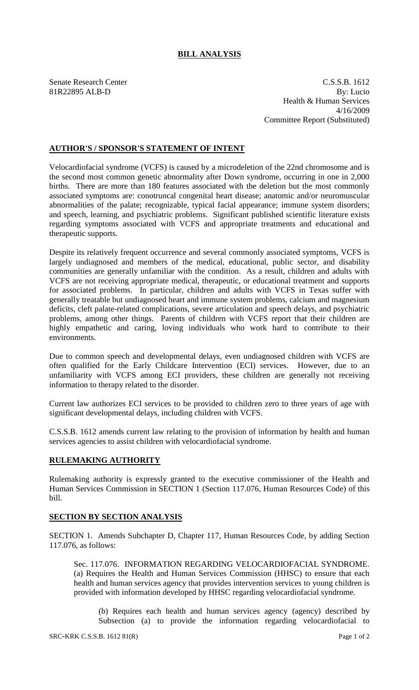## **BILL ANALYSIS**

Senate Research Center C.S.S.B. 1612 81R22895 ALB-D By: Lucio Health & Human Services 4/16/2009 Committee Report (Substituted)

## **AUTHOR'S / SPONSOR'S STATEMENT OF INTENT**

Velocardiofacial syndrome (VCFS) is caused by a microdeletion of the 22nd chromosome and is the second most common genetic abnormality after Down syndrome, occurring in one in 2,000 births. There are more than 180 features associated with the deletion but the most commonly associated symptoms are: conotruncal congenital heart disease; anatomic and/or neuromuscular abnormalities of the palate; recognizable, typical facial appearance; immune system disorders; and speech, learning, and psychiatric problems. Significant published scientific literature exists regarding symptoms associated with VCFS and appropriate treatments and educational and therapeutic supports.

Despite its relatively frequent occurrence and several commonly associated symptoms, VCFS is largely undiagnosed and members of the medical, educational, public sector, and disability communities are generally unfamiliar with the condition. As a result, children and adults with VCFS are not receiving appropriate medical, therapeutic, or educational treatment and supports for associated problems. In particular, children and adults with VCFS in Texas suffer with generally treatable but undiagnosed heart and immune system problems, calcium and magnesium deficits, cleft palate-related complications, severe articulation and speech delays, and psychiatric problems, among other things. Parents of children with VCFS report that their children are highly empathetic and caring, loving individuals who work hard to contribute to their environments.

Due to common speech and developmental delays, even undiagnosed children with VCFS are often qualified for the Early Childcare Intervention (ECI) services. However, due to an unfamiliarity with VCFS among ECI providers, these children are generally not receiving information to therapy related to the disorder.

Current law authorizes ECI services to be provided to children zero to three years of age with significant developmental delays, including children with VCFS.

C.S.S.B. 1612 amends current law relating to the provision of information by health and human services agencies to assist children with velocardiofacial syndrome.

## **RULEMAKING AUTHORITY**

Rulemaking authority is expressly granted to the executive commissioner of the Health and Human Services Commission in SECTION 1 (Section 117.076, Human Resources Code) of this bill.

## **SECTION BY SECTION ANALYSIS**

SECTION 1. Amends Subchapter D, Chapter 117, Human Resources Code, by adding Section 117.076, as follows:

Sec. 117.076. INFORMATION REGARDING VELOCARDIOFACIAL SYNDROME. (a) Requires the Health and Human Services Commission (HHSC) to ensure that each health and human services agency that provides intervention services to young children is provided with information developed by HHSC regarding velocardiofacial syndrome.

(b) Requires each health and human services agency (agency) described by Subsection (a) to provide the information regarding velocardiofacial to